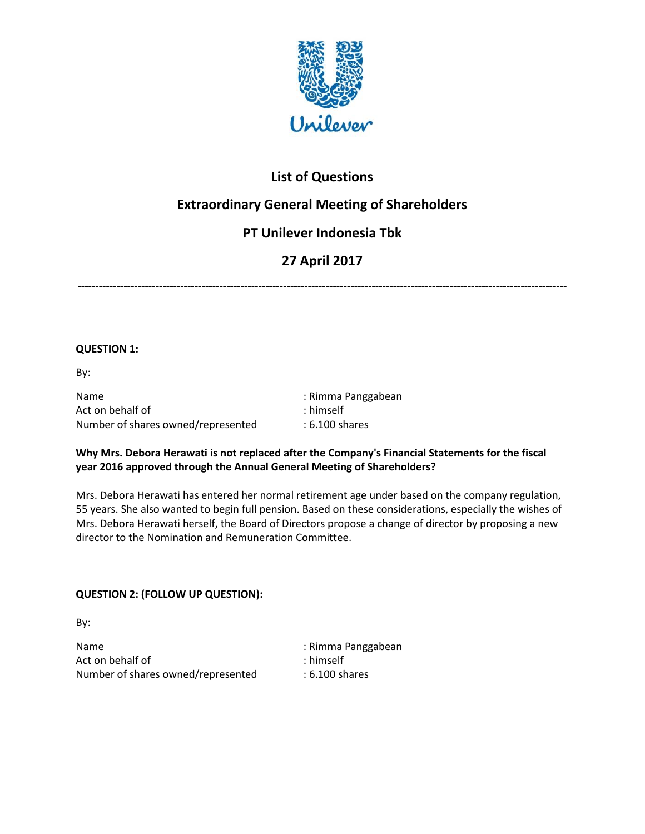

### **List of Questions**

# **Extraordinary General Meeting of Shareholders**

# **PT Unilever Indonesia Tbk**

# **27 April 2017**

**------------------------------------------------------------------------------------------------------------------------------------------**

#### **QUESTION 1:**

By:

Name : Rimma Panggabean Act on behalf of  $\overline{\phantom{a}}$ : himself Number of shares owned/represented : 6.100 shares

### **Why Mrs. Debora Herawati is not replaced after the Company's Financial Statements for the fiscal year 2016 approved through the Annual General Meeting of Shareholders?**

Mrs. Debora Herawati has entered her normal retirement age under based on the company regulation, 55 years. She also wanted to begin full pension. Based on these considerations, especially the wishes of Mrs. Debora Herawati herself, the Board of Directors propose a change of director by proposing a new director to the Nomination and Remuneration Committee.

### **QUESTION 2: (FOLLOW UP QUESTION):**

By:

Name : Rimma Panggabean Act on behalf of  $\qquad \qquad$ : himself Number of shares owned/represented : 6.100 shares